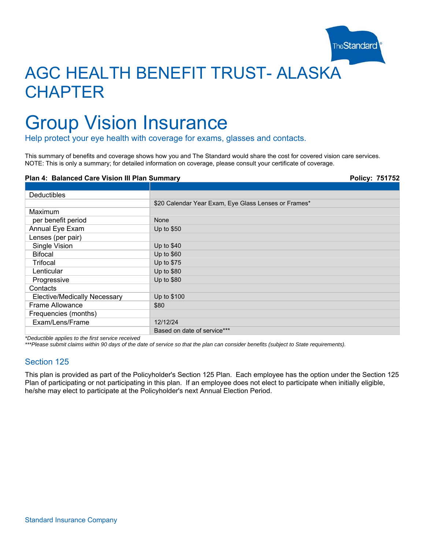

# AGC HEALTH BENEFIT TRUST- ALASKA **CHAPTER**

# Group Vision Insurance

Help protect your eye health with coverage for exams, glasses and contacts.

This summary of benefits and coverage shows how you and The Standard would share the cost for covered vision care services. NOTE: This is only a summary; for detailed information on coverage, please consult your certificate of coverage.

#### **Plan 4: Balanced Care Vision III Plan Summary Policy: 751752 1999 Policy: 751752**

| <b>Deductibles</b>                  |                                                      |
|-------------------------------------|------------------------------------------------------|
|                                     | \$20 Calendar Year Exam, Eye Glass Lenses or Frames* |
| Maximum                             |                                                      |
| per benefit period                  | None                                                 |
| Annual Eye Exam                     | Up to \$50                                           |
| Lenses (per pair)                   |                                                      |
| Single Vision                       | Up to \$40                                           |
| <b>Bifocal</b>                      | Up to \$60                                           |
| Trifocal                            | Up to \$75                                           |
| Lenticular                          | Up to \$80                                           |
| Progressive                         | Up to \$80                                           |
| Contacts                            |                                                      |
| <b>Elective/Medically Necessary</b> | Up to \$100                                          |
| Frame Allowance                     | \$80                                                 |
| Frequencies (months)                |                                                      |
| Exam/Lens/Frame                     | 12/12/24                                             |
|                                     | Based on date of service***                          |

*\*Deductible applies to the first service received* 

*\*\*\*Please submit claims within 90 days of the date of service so that the plan can consider benefits (subject to State requirements).* 

## Section 125

This plan is provided as part of the Policyholder's Section 125 Plan. Each employee has the option under the Section 125 Plan of participating or not participating in this plan. If an employee does not elect to participate when initially eligible, he/she may elect to participate at the Policyholder's next Annual Election Period.